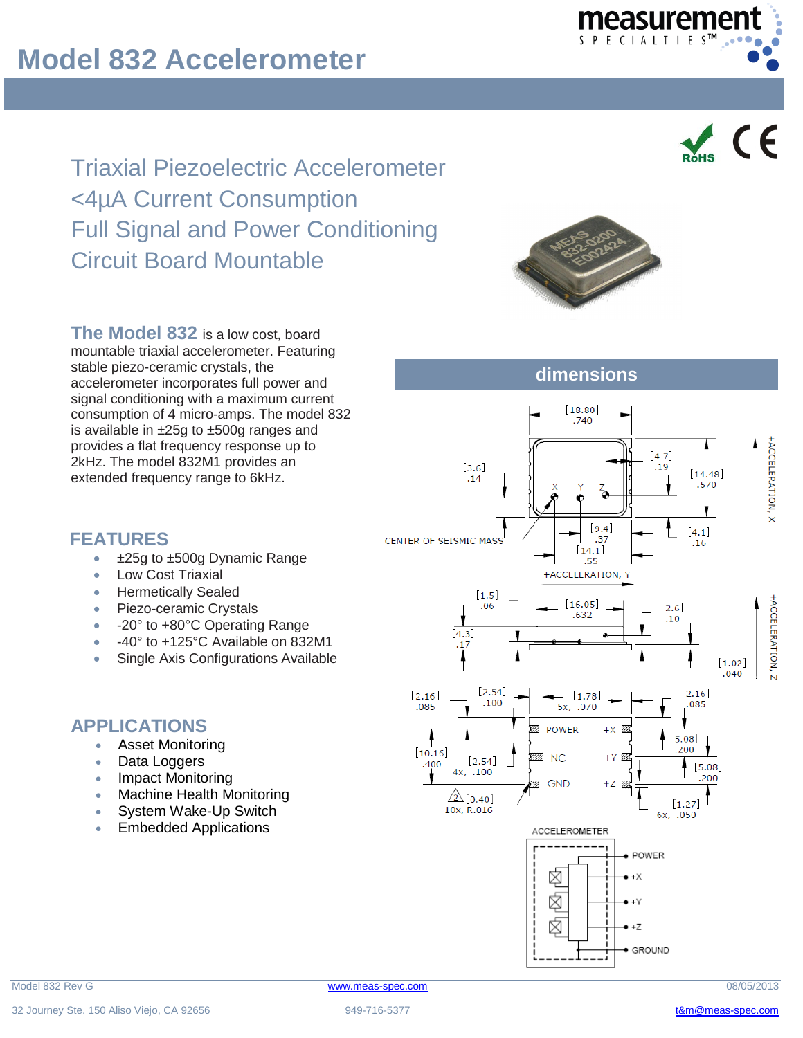Triaxial Piezoelectric Accelerometer <4µA Current Consumption Full Signal and Power Conditioning Circuit Board Mountable



measuremer

 $\vee$  CE

**The Model 832** is a low cost, board mountable triaxial accelerometer. Featuring stable piezo-ceramic crystals, the accelerometer incorporates full power and signal conditioning with a maximum current consumption of 4 micro-amps. The model 832 is available in ±25g to ±500g ranges and provides a flat frequency response up to 2kHz. The model 832M1 provides an extended frequency range to 6kHz.

## **dimensions**



#### **FEATURES**

- ±25g to ±500g Dynamic Range
- Low Cost Triaxial
- Hermetically Sealed
- Piezo-ceramic Crystals
- -20° to +80°C Operating Range
- -40° to +125°C Available on 832M1
- Single Axis Configurations Available

## **APPLICATIONS**

- **Asset Monitoring**
- Data Loggers
- Impact Monitoring
- Machine Health Monitoring
- System Wake-Up Switch
- Embedded Applications